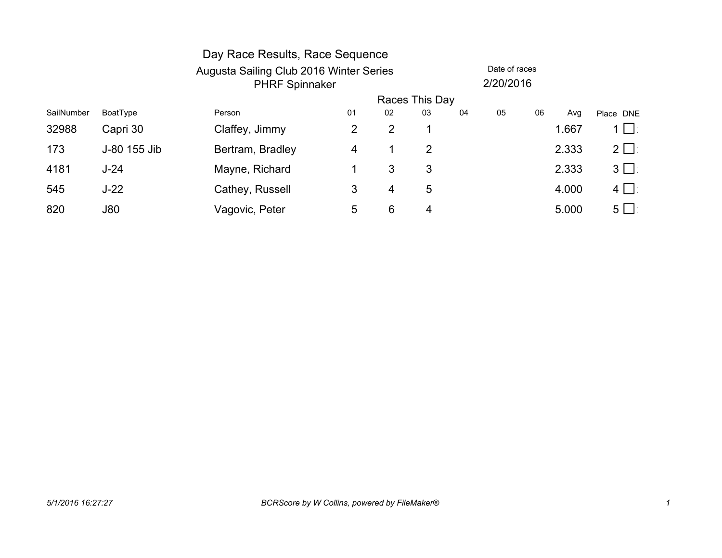|            |              | Day Race Results, Race Sequence         |                |                |    |    |               |    |       |           |
|------------|--------------|-----------------------------------------|----------------|----------------|----|----|---------------|----|-------|-----------|
|            |              | Augusta Sailing Club 2016 Winter Series |                |                |    |    | Date of races |    |       |           |
|            |              | <b>PHRF Spinnaker</b>                   |                |                |    |    | 2/20/2016     |    |       |           |
|            |              |                                         | Races This Day |                |    |    |               |    |       |           |
| SailNumber | BoatType     | Person                                  | 01             | 02             | 03 | 04 | 05            | 06 | Avg   | Place DNE |
| 32988      | Capri 30     | Claffey, Jimmy                          | 2              | $\overline{2}$ |    |    |               |    | 1.667 | 1 凵∶      |
| 173        | J-80 155 Jib | Bertram, Bradley                        | 4              |                | 2  |    |               |    | 2.333 | $2 \Box$  |
| 4181       | $J-24$       | Mayne, Richard                          |                | 3              | 3  |    |               |    | 2.333 | $3 \Box$  |
| 545        | $J-22$       | Cathey, Russell                         | 3              | 4              | 5  |    |               |    | 4.000 | $4 \Box$  |
| 820        | J80          | Vagovic, Peter                          | 5              | 6              | 4  |    |               |    | 5.000 | $5 \Box$  |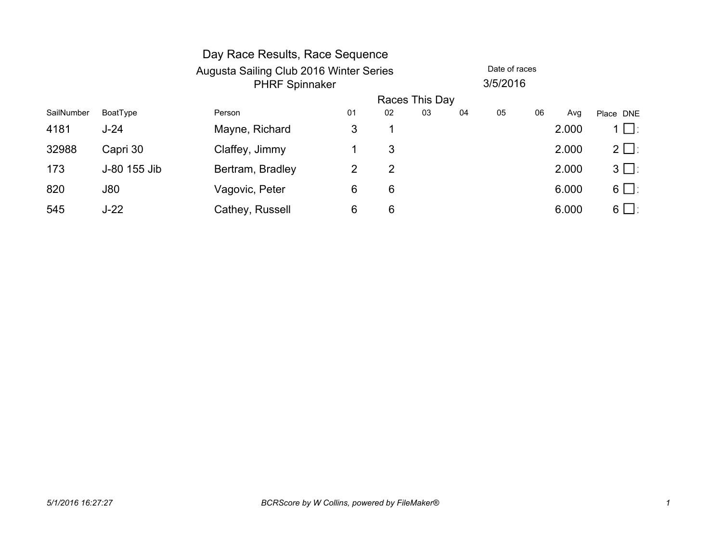|            |              | Day Race Results, Race Sequence                                  |                |    |    |    |    |    |       |           |
|------------|--------------|------------------------------------------------------------------|----------------|----|----|----|----|----|-------|-----------|
|            |              | Augusta Sailing Club 2016 Winter Series<br><b>PHRF Spinnaker</b> |                |    |    |    |    |    |       |           |
|            |              |                                                                  | Races This Day |    |    |    |    |    |       |           |
| SailNumber | BoatType     | Person                                                           | 01             | 02 | 03 | 04 | 05 | 06 | Avg   | Place DNE |
| 4181       | $J-24$       | Mayne, Richard                                                   | 3              |    |    |    |    |    | 2.000 | $1 \Box$  |
| 32988      | Capri 30     | Claffey, Jimmy                                                   |                | 3  |    |    |    |    | 2.000 | $2 \Box$  |
| 173        | J-80 155 Jib | Bertram, Bradley                                                 | 2              | 2  |    |    |    |    | 2.000 | $3 \Box$  |
| 820        | J80          | Vagovic, Peter                                                   | 6              | 6  |    |    |    |    | 6.000 | $6 \Box$  |
| 545        | $J-22$       | Cathey, Russell                                                  | 6              | 6  |    |    |    |    | 6.000 | $6 \Box$  |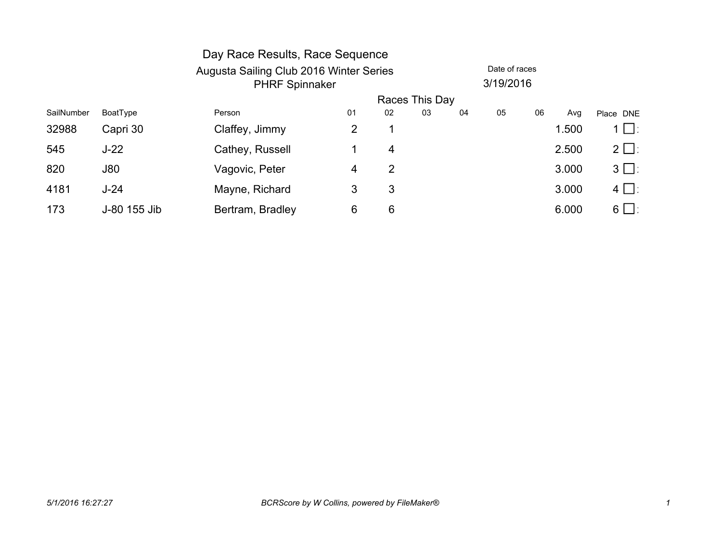|            |              | Day Race Results, Race Sequence         |    |           |                |    |               |    |       |           |  |
|------------|--------------|-----------------------------------------|----|-----------|----------------|----|---------------|----|-------|-----------|--|
|            |              | Augusta Sailing Club 2016 Winter Series |    |           |                |    | Date of races |    |       |           |  |
|            |              | <b>PHRF Spinnaker</b>                   |    | 3/19/2016 |                |    |               |    |       |           |  |
|            |              |                                         |    |           | Races This Day |    |               |    |       |           |  |
| SailNumber | BoatType     | Person                                  | 01 | 02        | 03             | 04 | 05            | 06 | Avg   | Place DNE |  |
| 32988      | Capri 30     | Claffey, Jimmy                          | 2  |           |                |    |               |    | 1.500 | 1 □∶      |  |
| 545        | $J-22$       | Cathey, Russell                         |    | 4         |                |    |               |    | 2.500 | $2 \Box$  |  |
| 820        | J80          | Vagovic, Peter                          | 4  | 2         |                |    |               |    | 3.000 | $3 \Box$  |  |
| 4181       | $J-24$       | Mayne, Richard                          | 3  | 3         |                |    |               |    | 3.000 | $4 \Box$  |  |
| 173        | J-80 155 Jib | Bertram, Bradley                        | 6  | 6         |                |    |               |    | 6.000 | $6 \Box$  |  |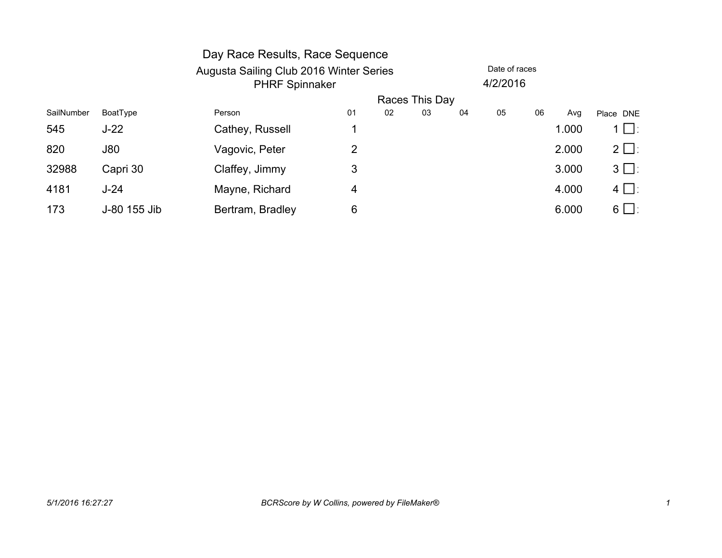|            |              | Day Race Results, Race Sequence         |    |    |                |    |          |    |       |           |  |
|------------|--------------|-----------------------------------------|----|----|----------------|----|----------|----|-------|-----------|--|
|            |              | Augusta Sailing Club 2016 Winter Series |    |    | Date of races  |    |          |    |       |           |  |
|            |              | <b>PHRF Spinnaker</b>                   |    |    |                |    | 4/2/2016 |    |       |           |  |
|            |              |                                         |    |    | Races This Day |    |          |    |       |           |  |
| SailNumber | BoatType     | Person                                  | 01 | 02 | 03             | 04 | 05       | 06 | Avg   | Place DNE |  |
| 545        | $J-22$       | Cathey, Russell                         |    |    |                |    |          |    | 1.000 | $1 \Box$  |  |
| 820        | J80          | Vagovic, Peter                          | 2  |    |                |    |          |    | 2.000 | $2 \Box$  |  |
| 32988      | Capri 30     | Claffey, Jimmy                          | 3  |    |                |    |          |    | 3.000 | $3 \Box$  |  |
| 4181       | $J-24$       | Mayne, Richard                          | 4  |    |                |    |          |    | 4.000 | $4 \Box$  |  |
| 173        | J-80 155 Jib | Bertram, Bradley                        | 6  |    |                |    |          |    | 6.000 | $6 \Box$  |  |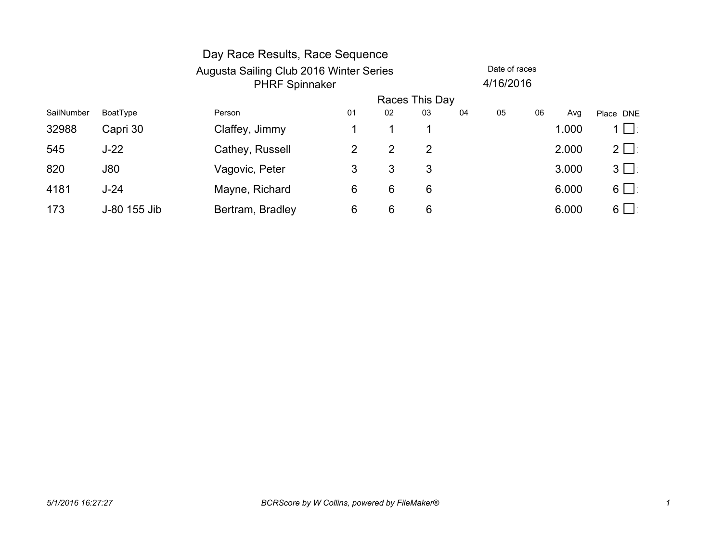|            |              | Day Race Results, Race Sequence         |                |    |    |    |               |    |       |           |
|------------|--------------|-----------------------------------------|----------------|----|----|----|---------------|----|-------|-----------|
|            |              | Augusta Sailing Club 2016 Winter Series |                |    |    |    | Date of races |    |       |           |
|            |              | <b>PHRF Spinnaker</b>                   |                |    |    |    | 4/16/2016     |    |       |           |
|            |              |                                         | Races This Day |    |    |    |               |    |       |           |
| SailNumber | BoatType     | Person                                  | 01             | 02 | 03 | 04 | 05            | 06 | Avg   | Place DNE |
| 32988      | Capri 30     | Claffey, Jimmy                          |                |    | 1  |    |               |    | 1.000 | $1 \Box$  |
| 545        | $J-22$       | Cathey, Russell                         | 2              | 2  | 2  |    |               |    | 2.000 | $2 \Box$  |
| 820        | J80          | Vagovic, Peter                          | 3              | 3  | 3  |    |               |    | 3.000 | $3 \Box$  |
| 4181       | $J-24$       | Mayne, Richard                          | 6              | 6  | 6  |    |               |    | 6.000 | $6 \Box$  |
| 173        | J-80 155 Jib | Bertram, Bradley                        | 6              | 6  | 6  |    |               |    | 6.000 | $6 \Box$  |